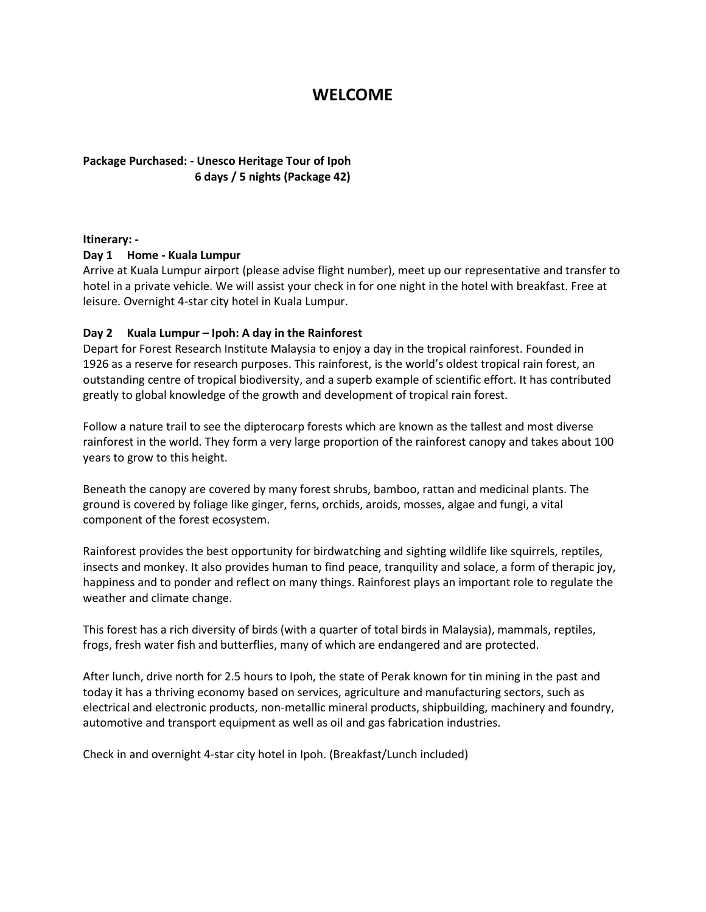# **WELCOME**

# **Package Purchased: - Unesco Heritage Tour of Ipoh 6 days / 5 nights (Package 42)**

#### **Itinerary: -**

#### **Day 1 Home - Kuala Lumpur**

Arrive at Kuala Lumpur airport (please advise flight number), meet up our representative and transfer to hotel in a private vehicle. We will assist your check in for one night in the hotel with breakfast. Free at leisure. Overnight 4-star city hotel in Kuala Lumpur.

## **Day 2 Kuala Lumpur – Ipoh: A day in the Rainforest**

Depart for Forest Research Institute Malaysia to enjoy a day in the tropical rainforest. Founded in 1926 as a reserve for research purposes. This rainforest, is the world's oldest tropical rain forest, an outstanding centre of tropical biodiversity, and a superb example of scientific effort. It has contributed greatly to global knowledge of the growth and development of tropical rain forest.

Follow a nature trail to see the dipterocarp forests which are known as the tallest and most diverse rainforest in the world. They form a very large proportion of the rainforest canopy and takes about 100 years to grow to this height.

Beneath the canopy are covered by many forest shrubs, bamboo, rattan and medicinal plants. The ground is covered by foliage like ginger, ferns, orchids, aroids, mosses, algae and fungi, a vital component of the forest ecosystem.

Rainforest provides the best opportunity for birdwatching and sighting wildlife like squirrels, reptiles, insects and monkey. It also provides human to find peace, tranquility and solace, a form of therapic joy, happiness and to ponder and reflect on many things. Rainforest plays an important role to regulate the weather and climate change.

This forest has a rich diversity of birds (with a quarter of total birds in Malaysia), mammals, reptiles, frogs, fresh water fish and butterflies, many of which are endangered and are protected.

After lunch, drive north for 2.5 hours to Ipoh, the state of Perak known for tin mining in the past and today it has a thriving economy based on services, agriculture and manufacturing sectors, such as electrical and electronic products, non-metallic mineral products, shipbuilding, machinery and foundry, automotive and transport equipment as well as oil and gas fabrication industries.

Check in and overnight 4-star city hotel in Ipoh. (Breakfast/Lunch included)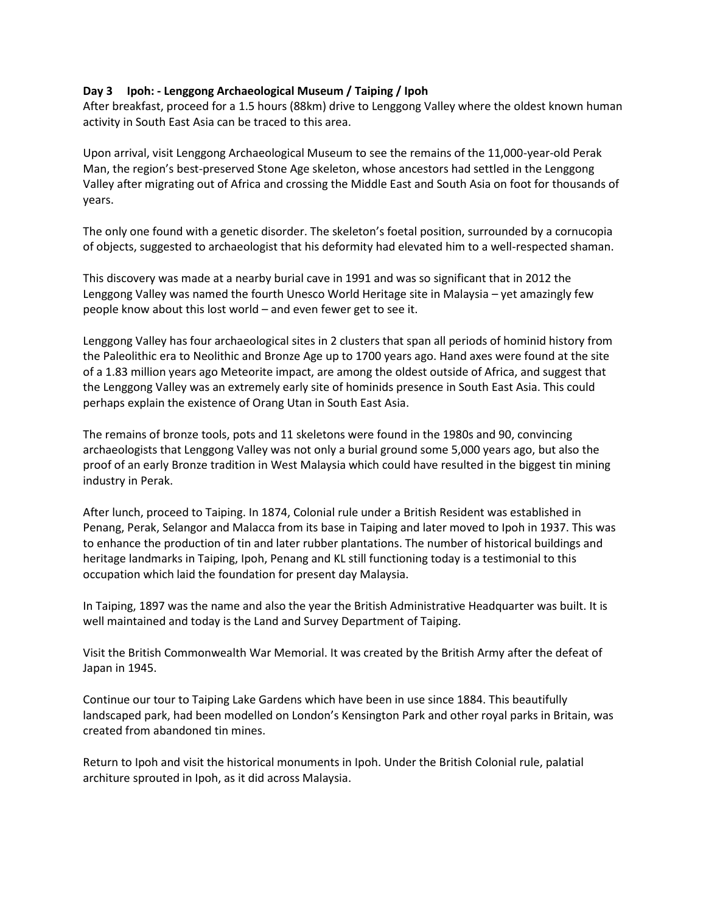#### **Day 3 Ipoh: - Lenggong Archaeological Museum / Taiping / Ipoh**

After breakfast, proceed for a 1.5 hours (88km) drive to Lenggong Valley where the oldest known human activity in South East Asia can be traced to this area.

Upon arrival, visit Lenggong Archaeological Museum to see the remains of the 11,000-year-old Perak Man, the region's best-preserved Stone Age skeleton, whose ancestors had settled in the Lenggong Valley after migrating out of Africa and crossing the Middle East and South Asia on foot for thousands of years.

The only one found with a genetic disorder. The skeleton's foetal position, surrounded by a cornucopia of objects, suggested to archaeologist that his deformity had elevated him to a well-respected shaman.

This discovery was made at a nearby burial cave in 1991 and was so significant that in 2012 the Lenggong Valley was named the fourth Unesco World Heritage site in Malaysia – yet amazingly few people know about this lost world – and even fewer get to see it.

Lenggong Valley has four archaeological sites in 2 clusters that span all periods of hominid history from the Paleolithic era to Neolithic and Bronze Age up to 1700 years ago. Hand axes were found at the site of a 1.83 million years ago Meteorite impact, are among the oldest outside of Africa, and suggest that the Lenggong Valley was an extremely early site of hominids presence in South East Asia. This could perhaps explain the existence of Orang Utan in South East Asia.

The remains of bronze tools, pots and 11 skeletons were found in the 1980s and 90, convincing archaeologists that Lenggong Valley was not only a burial ground some 5,000 years ago, but also the proof of an early Bronze tradition in West Malaysia which could have resulted in the biggest tin mining industry in Perak.

After lunch, proceed to Taiping. In 1874, Colonial rule under a British Resident was established in Penang, Perak, Selangor and Malacca from its base in Taiping and later moved to Ipoh in 1937. This was to enhance the production of tin and later rubber plantations. The number of historical buildings and heritage landmarks in Taiping, Ipoh, Penang and KL still functioning today is a testimonial to this occupation which laid the foundation for present day Malaysia.

In Taiping, 1897 was the name and also the year the British Administrative Headquarter was built. It is well maintained and today is the Land and Survey Department of Taiping.

Visit the British Commonwealth War Memorial. It was created by the British Army after the defeat of Japan in 1945.

Continue our tour to Taiping Lake Gardens which have been in use since 1884. This beautifully landscaped park, had been modelled on London's Kensington Park and other royal parks in Britain, was created from abandoned tin mines.

Return to Ipoh and visit the historical monuments in Ipoh. Under the British Colonial rule, palatial architure sprouted in Ipoh, as it did across Malaysia.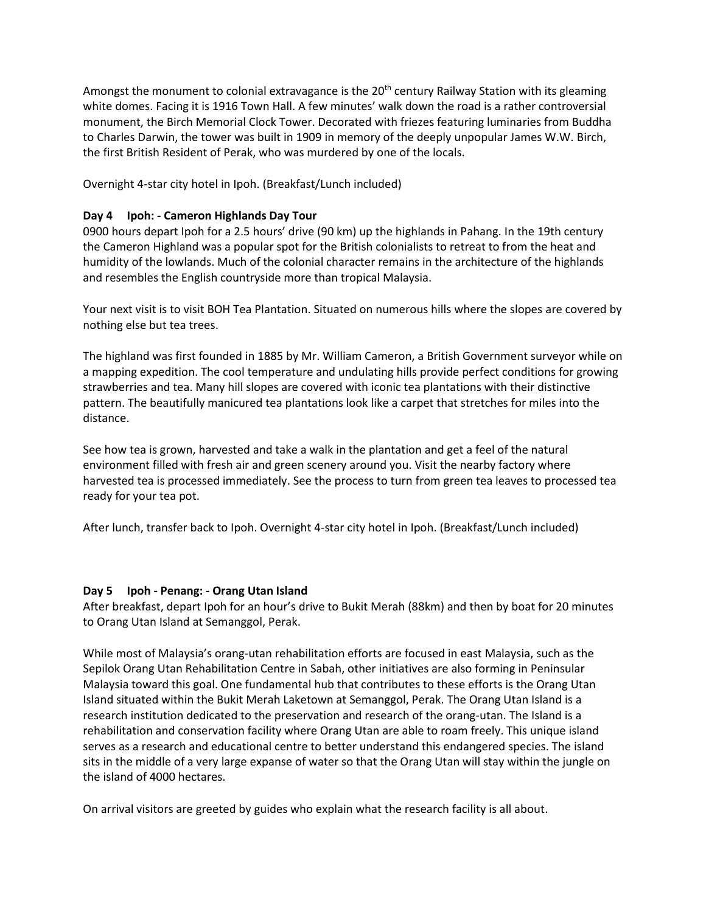Amongst the monument to colonial extravagance is the 20<sup>th</sup> century Railway Station with its gleaming white domes. Facing it is 1916 Town Hall. A few minutes' walk down the road is a rather controversial monument, the Birch Memorial Clock Tower. Decorated with friezes featuring luminaries from Buddha to Charles Darwin, the tower was built in 1909 in memory of the deeply unpopular James W.W. Birch, the first British Resident of Perak, who was murdered by one of the locals.

Overnight 4-star city hotel in Ipoh. (Breakfast/Lunch included)

## **Day 4 Ipoh: - Cameron Highlands Day Tour**

0900 hours depart Ipoh for a 2.5 hours' drive (90 km) up the highlands in Pahang. In the 19th century the Cameron Highland was a popular spot for the British colonialists to retreat to from the heat and humidity of the lowlands. Much of the colonial character remains in the architecture of the highlands and resembles the English countryside more than tropical Malaysia.

Your next visit is to visit BOH Tea Plantation. Situated on numerous hills where the slopes are covered by nothing else but tea trees.

The highland was first founded in 1885 by Mr. William Cameron, a British Government surveyor while on a mapping expedition. The cool temperature and undulating hills provide perfect conditions for growing strawberries and tea. Many hill slopes are covered with iconic tea plantations with their distinctive pattern. The beautifully manicured tea plantations look like a carpet that stretches for miles into the distance.

See how tea is grown, harvested and take a walk in the plantation and get a feel of the natural environment filled with fresh air and green scenery around you. Visit the nearby factory where harvested tea is processed immediately. See the process to turn from green tea leaves to processed tea ready for your tea pot.

After lunch, transfer back to Ipoh. Overnight 4-star city hotel in Ipoh. (Breakfast/Lunch included)

## **Day 5 Ipoh - Penang: - Orang Utan Island**

After breakfast, depart Ipoh for an hour's drive to Bukit Merah (88km) and then by boat for 20 minutes to Orang Utan Island at Semanggol, Perak.

While most of Malaysia's orang-utan rehabilitation efforts are focused in east Malaysia, such as the Sepilok Orang Utan Rehabilitation Centre in Sabah, other initiatives are also forming in Peninsular Malaysia toward this goal. One fundamental hub that contributes to these efforts is the Orang Utan Island situated within the Bukit Merah Laketown at Semanggol, Perak. The Orang Utan Island is a research institution dedicated to the preservation and research of the orang-utan. The Island is a rehabilitation and conservation facility where Orang Utan are able to roam freely. This unique island serves as a research and educational centre to better understand this endangered species. The island sits in the middle of a very large expanse of water so that the Orang Utan will stay within the jungle on the island of 4000 hectares.

On arrival visitors are greeted by guides who explain what the research facility is all about.